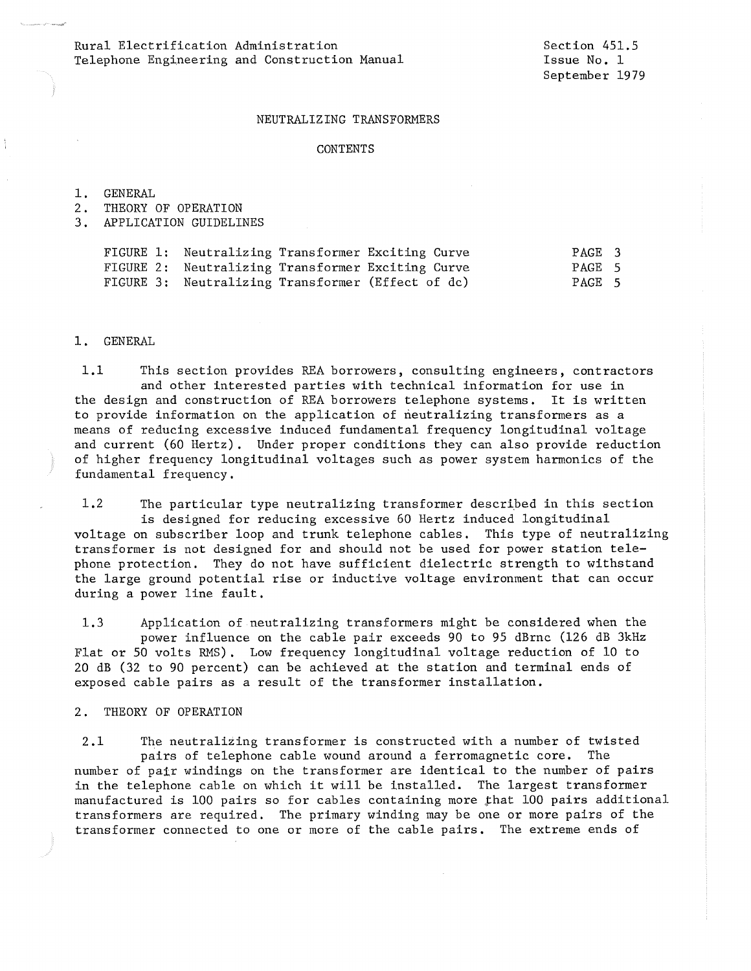### NEUTRALIZING TRANSFORMERS

#### CONTENTS

1. GENERAL

2. THEORY OF OPERATION

3. APPLICATION GUIDELINES

| FIGURE 1: Neutralizing Transformer Exciting Curve |  | PAGE 3 |  |
|---------------------------------------------------|--|--------|--|
| FIGURE 2: Neutralizing Transformer Exciting Curve |  | PAGE 5 |  |
| FIGURE 3: Neutralizing Transformer (Effect of dc) |  | PAGE 5 |  |

## 1. GENERAL

1.1 This section provides REA borrowers, consulting engineers, contractors and other interested parties with technical information for use in the design and construction of REA borrowers telephone systems. It is written to provide information on the application of neutralizing transformers as a means of reducing excessive induced fundamental frequency longitudinal voltage and current (60 Hertz). Under proper conditions they can also provide reduction of higher frequency longitudinal voltages such as power system harmonics of the fundamental frequency.

1.2 The particular type neutralizing transformer described in this section is designed for reducing excessive 60 Hertz induced longitudinal voltage on subscriber loop and trunk telephone cables. This type of neutralizing transformer is not designed for and should not be used for power station telephone protection. They do not have sufficient dielectric strength to withstand the large ground potential rise or inductive voltage environment that can occur during a power line fault.

1.3 Application of neutralizing transformers might be considered when the power influence on the cable pair exceeds 90 to 95 dBrnc (126 dB 3kHz Flat or 50 volts RMS). Low frequency longitudinal voltage reduction of 10 to 20 dB (32 to 90 percent) can be achieved at the station and terminal ends of exposed cable pairs as a result of the transformer installation.

#### 2. THEORY OF OPERATION

2.1 The neutralizing transformer is constructed with a number of twisted pairs of telephone cable wound around a ferromagnetic core. The number of pair windings on the transformer are identical to the number of pairs in the telephone cable on which it will be installed. The largest transformer manufactured is 100 pairs so for cables containing more that 100 pairs additional transformers are required. The primary winding may be one or more pairs of the transformer connected to one or more of the cable pairs. The extreme ends of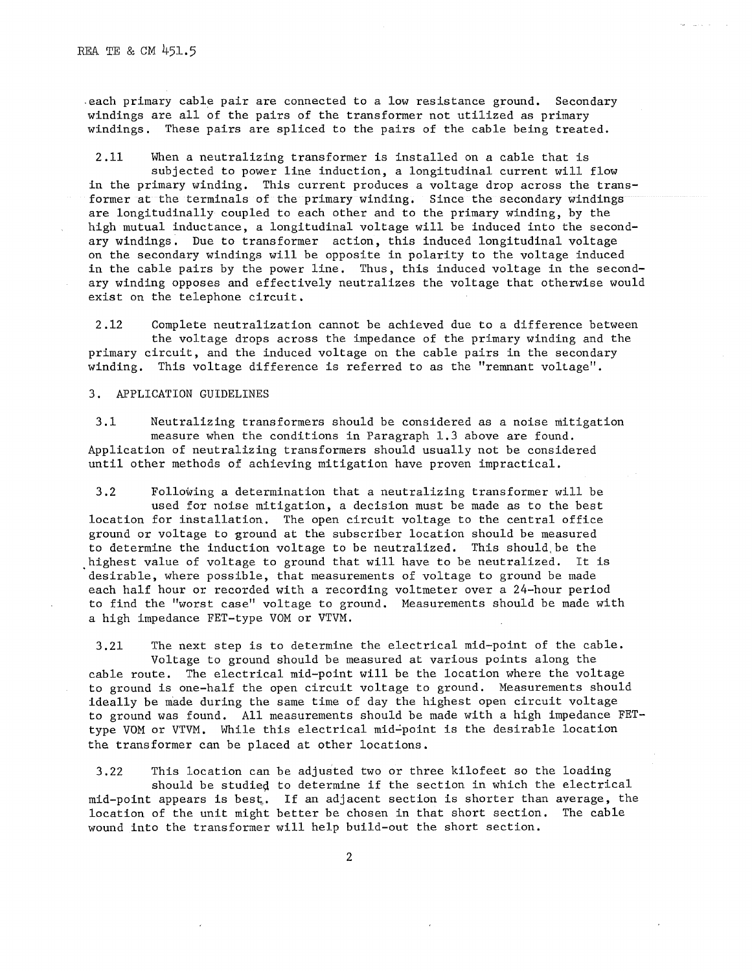.each primary cable pair are connected to a low resistance ground. Secondary windings are all of the pairs of the transformer not utilized as primary windings. These pairs are spliced to the pairs of the cable being treated.

sa masa sa s

2.11 When a neutralizing transformer is installed on a cable that is subjected to power line induction, a longitudinal current will flow in the primary winding. This current produces a voltage drop across the transformer at the terminals of the primary winding. Since the secondary windings are longitudinally coupled to each other and to the primary winding, by the high mutual inductance, a longitudinal voltage will be induced into the secondary windings. Due to transformer action, this induced longitudinal voltage on the secondary windings will be opposite in polarity to the voltage induced in the cable pairs by the power line. Thus, this induced voltage in the secondary winding opposes and effectively neutralizes the voltage that otherwise would exist on the telephone circuit.

2.12 Complete neutralization cannot be achieved due to a difference between the voltage drops across the impedance of the primary winding and the primary circuit, and the induced voltage on the cable pairs in the secondary winding. This voltage difference is referred to as the "remnant voltage".

# 3. APPLICATION GUIDELINES

3.1 Neutralizing transformers should be considered as a noise mitigation measure when the conditions in Paragraph 1.3 above are found. Application of neutralizing transformers should usually not be considered until other methods of achieving mitigation have proven impractical.

3.2 Following a determination that a neutralizing transformer will be used for noise mitigation, a decision must be made as to the best location for installation. The open circuit voltage to the central office ground or voltage to ground at the subscriber location should be measured to determine the induction voltage to be neutralized. This should,be the highest value of voltage to ground that will have to be neutralized. It is desirable, where possible, that measurements of voltage to ground be made each half hour or recorded with a recording voltmeter over a 24-hour period to find the "worst case" voltage to ground. Measurements should be made with a high impedance FET-type VOM or VTVM.

3.21 The next step is to determine the electrical mid-point of the cable. Voltage to ground should be measured at various points along the cable route. The electrical mid-point will be the location where the voltage to ground is one-half the open circuit voltage to ground. Measurements should ideally be made during the same time of day the highest open circuit voltage to ground was found. All measurements should be made with a high impedance FETtype VOM or VTVM. While this electrical mid-point is the desirable location the transformer can be placed at other locations.

3.22 This location can be adjusted two or three kilofeet so the loading should be studied to determine if the section in which the electri mid-point appears is best. If an adjacent section is shorter than average, the location of the unit might better be chosen in that short section. The cabl wound into the transformer will help build-out the short sectio

2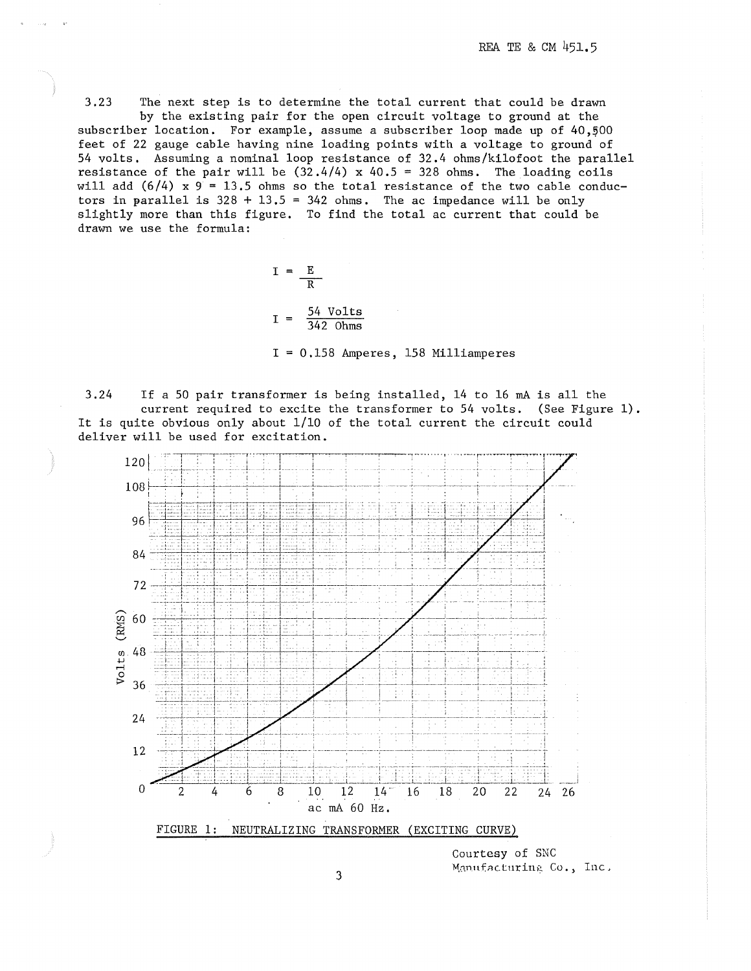3,23 The next step is to determine the total current that could be drawn by the existing pair for the open circuit voltage to ground at the subscriber location. For example, assume a subscriber loop made up of  $40,500$ feet of 22 gauge cable having nine loading points with a voltage to ground of 54 volts, Assuming a nominal loop resistance of 32.4 ohms/kilofoot the parallel resistance of the pair will be  $(32.4/4)$  x 40.5 = 328 ohms. The loading coils will add  $(6/4)$  x 9 = 13.5 ohms so the total resistance of the two cable conductors in parallel is  $328 + 13.5 = 342$  ohms. The ac impedance will be only slightly more than this figure. To find the total ac current that could be drawn we use the formula:

$$
I = \frac{E}{R}
$$

$$
I = \frac{54 \text{ Volts}}{342 \text{ Ohms}}
$$

 $I = 0.158$  Amperes, 158 Milliamperes

3.24 If a 50 pair transformer is being installed, 14 to 16 mA is all the current required to excite the transformer to 54 volts. (See Figure 1). It is quite obvious only about 1/10 of the total current the circuit could deliver will be used for excitation.



Courtesy of SNC Manufacturing Co., Inc.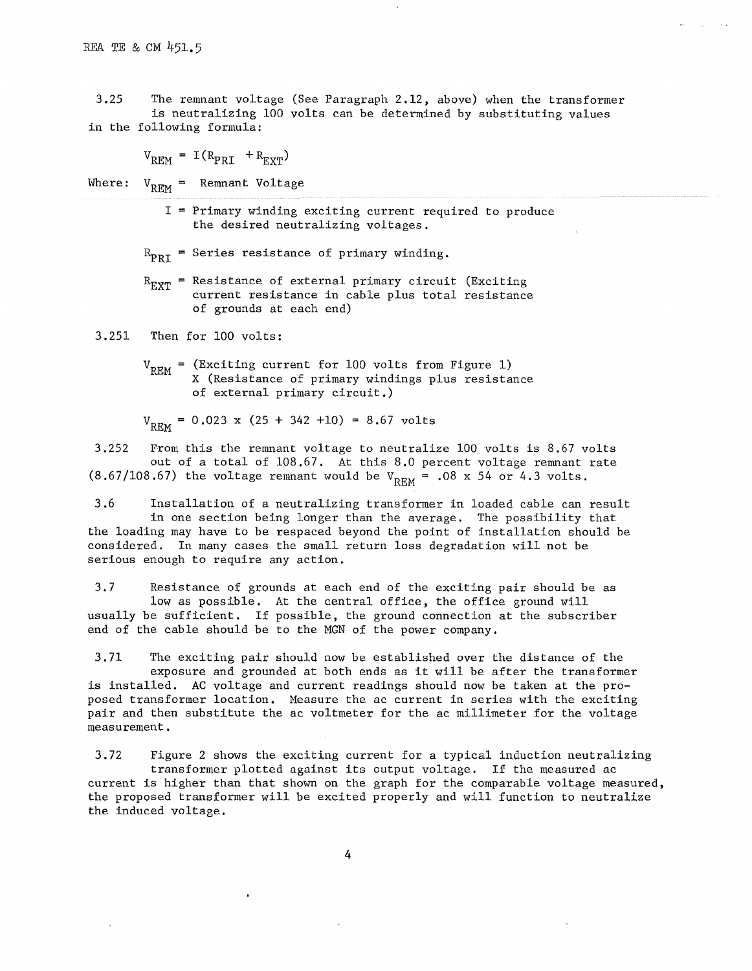3.25 The remnant voltage (See Paragraph 2.12, above) when the transformer is neutralizing 100 volts can be determined by substituting values in the following formula:

 $V_{\text{REM}} = I(R_{\text{PRI}} + R_{\text{EXT}})$ 

Where: V<sub>REM</sub> = Remnant Voltag

I = Primary winding exciting current required to produce the desired neutralizing voltages.

- $R_{\text{PRT}}$  = Series resistance of primary winding.
- $R_{\overline{\text{EXT}}}$  = Resistance of external primary circuit (Exciting current resistance in cable plus total resistance of grounds at each end)

3.251 Then for 100 volts:

> $V_{REM}$  = (Exciting current for 100 volts from Figure 1) X (Resistance of primary windings plus resistance of external primary circuit.)

 $V_{REM}$  = 0.023 x (25 + 342 +10) = 8.67 volts

3.252 From this the remnant voltage to neutralize 100 volts is 8.67 volts out of a total of 108.67. At this 8.0 percent voltage remnant rate (8.67/108.67) the voltage remnant would be  $V_{REM} = .08$  x 54 or 4.3 volts.

3.6 Installation of a neutralizing transformer **in** loaded cable can result in one section being longer than the average. The possibility that the loading may have to be respaced beyond the point of installation should be considered, In many cases the small return loss degradation will not be serious enough to require any action.

3.7 Resistance of grounds at each end of the exciting pair should be as low as possible. At the central office, the office ground will usually be sufficient. If possible, the ground connection at the subscriber end of the cable should be to the MGN of the power company.

3.71 The exciting pair should now be established over the distance of the exposure and grounded at both ends as it will be after the transformer is installed. AC voltage and current readings should now be taken at the proposed transformer location. Measure the ac current in series with the exciting pair and then substitute the ac voltmeter for the ac millimeter for the voltage measurement.

3.72 Figure 2 shows the exciting current for a typical induction neutralizing transformer plotted against its output voltage. If the measured ac current is higher than that shown on the graph for the comparable voltage measured, the proposed transformer will be excited properly and will function to neutralize the induced voltage.

4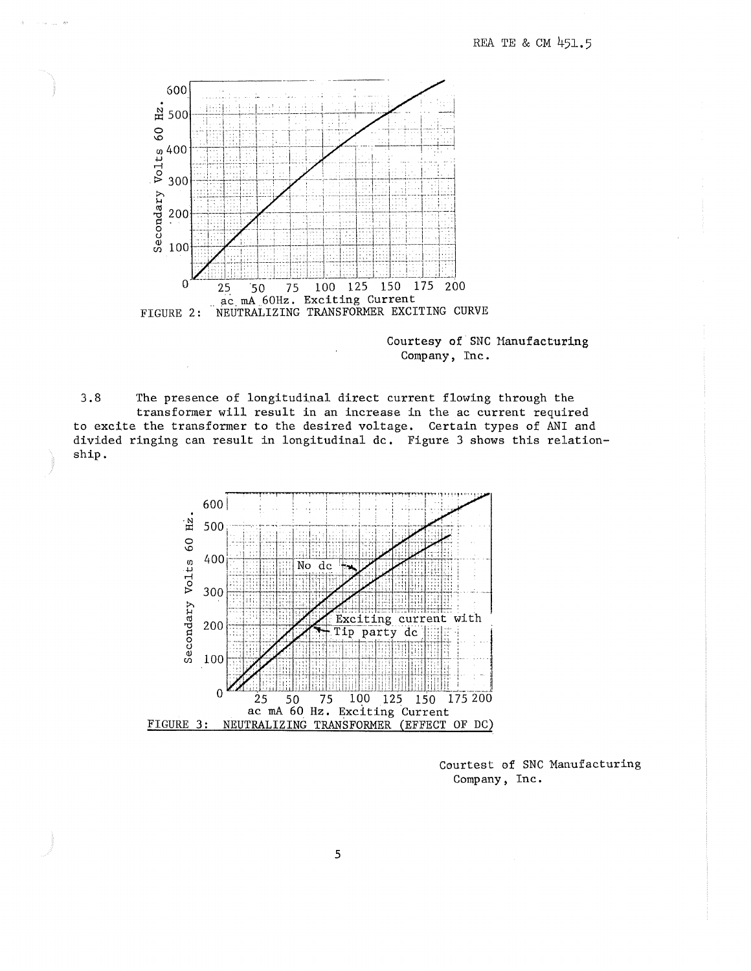

Courtesy of SNC Manufacturing Company, Inc.

3.8 The presence of longitudinal direct current flowing through the transformer will result in an increase in the ac current required to excite the transformer to the desired voltage. Certain types of ANI and divided ringing can result in longitudinal dc. Figure 3 shows this relationship.



Courtest of SNC Manufacturing Company, Inc.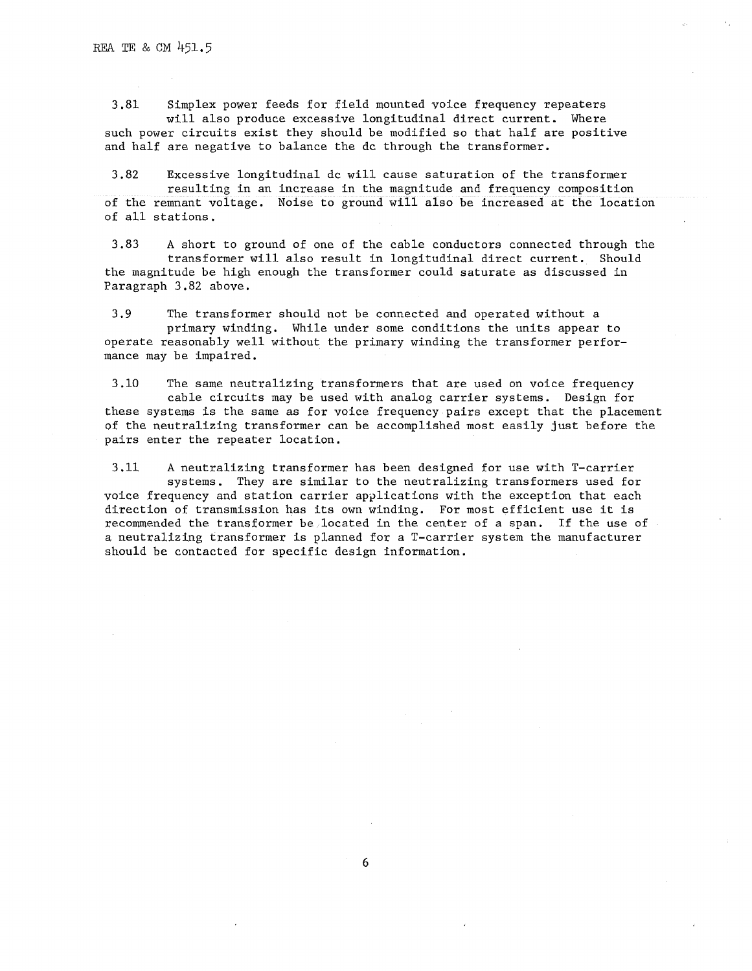3,81 Simplex power feeds for field mounted voice frequency repeaters will also produce excessive longitudinal direct current. Where such power circuits exist they should be modified so that half are positive and half are negative to balance the de through the transformer.

3,82 Excessive longitudinal de will cause saturation of the transformer resulting in an increase in the magnitude and frequency composition of the remnant voltage. Noise to ground will also be increased at the location of all stations.

3,83 A short to ground of one of the cable conductors connected through the transformer will also result in longitudinal direct current. Should the magnitude be high enough the transformer could saturate as discussed in Paragraph 3.82 above.

3.9 The transformer should not be connected and operated without a primary winding. While under some conditions the units appear to operate reasonably well without the primary winding the transformer performance may be impaired.

3.10 The same neutralizing transformers that are used on voice frequency cable circuits may be used with analog carrier systems. Design for these systems is the same as for voice frequency pairs except that the placement of the neutralizing transformer can be accomplished most easily just before the pairs enter the repeater location.

3.11 A neutralizing transformer has been designed for use with T-carrier systems. They are similar to the neutralizing transformers used for voice frequency and station carrier applications with the exception that each direction of transmission has its own winding. For most efficient use it is recommended the transformer be located in the center of a span. If the use of a neutralizing transformer is planned for a T-carrier system the manufacturer should be contacted for specific design information.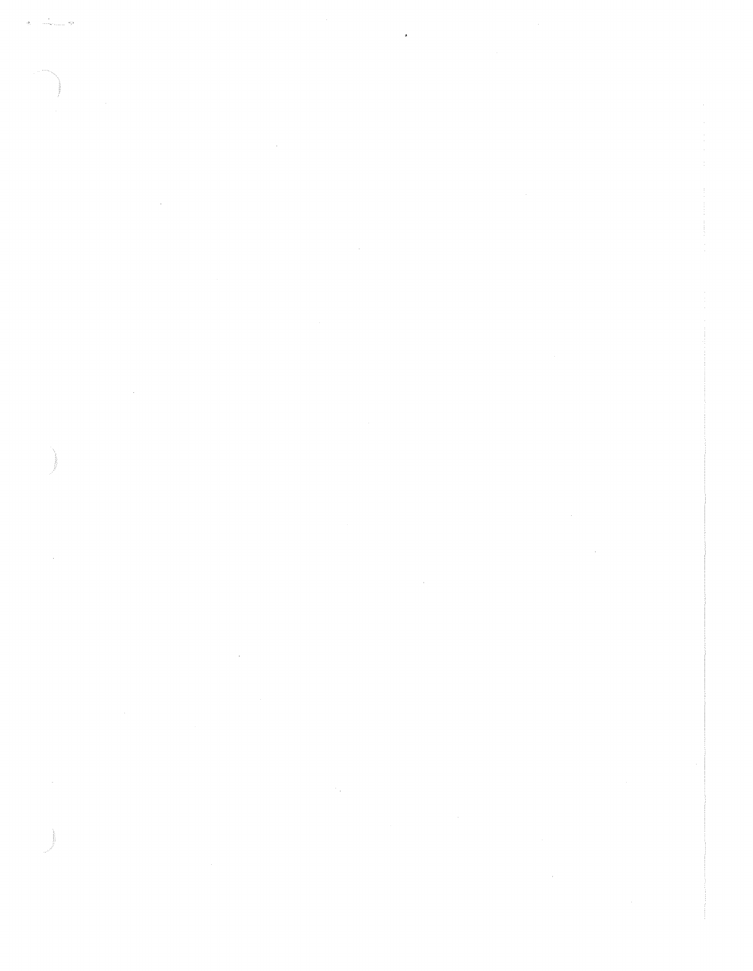

 $\label{eq:2.1} \mathcal{L}_{\mathcal{A}}(\mathcal{A}) = \mathcal{L}_{\mathcal{A}}(\mathcal{A}) = \mathcal{L}_{\mathcal{A}}(\mathcal{A})$